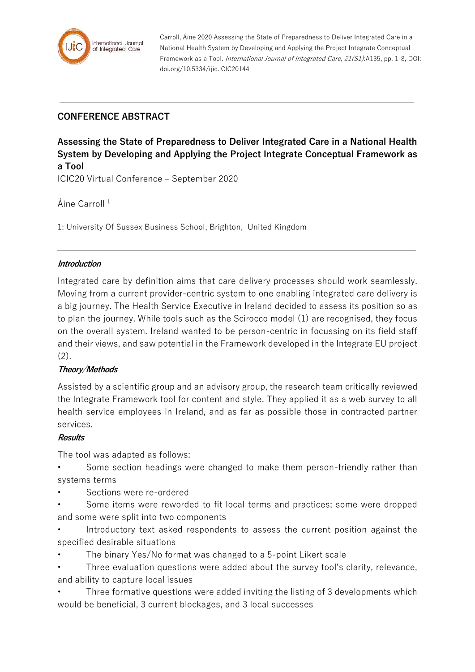

Carroll, Áine 2020 Assessing the State of Preparedness to Deliver Integrated Care in a National Health System by Developing and Applying the Project Integrate Conceptual Framework as a Tool. International Journal of Integrated Care, 21(S1):A135, pp. 1-8, DOI: doi.org/10.5334/ijic.ICIC20144

# **CONFERENCE ABSTRACT**

**Assessing the State of Preparedness to Deliver Integrated Care in a National Health System by Developing and Applying the Project Integrate Conceptual Framework as a Tool** ICIC20 Virtual Conference – September 2020

Áine Carroll<sup>1</sup>

1: University Of Sussex Business School, Brighton, United Kingdom

#### **Introduction**

Integrated care by definition aims that care delivery processes should work seamlessly. Moving from a current provider-centric system to one enabling integrated care delivery is a big journey. The Health Service Executive in Ireland decided to assess its position so as to plan the journey. While tools such as the Scirocco model (1) are recognised, they focus on the overall system. Ireland wanted to be person-centric in focussing on its field staff and their views, and saw potential in the Framework developed in the Integrate EU project  $(2).$ 

#### **Theory/Methods**

Assisted by a scientific group and an advisory group, the research team critically reviewed the Integrate Framework tool for content and style. They applied it as a web survey to all health service employees in Ireland, and as far as possible those in contracted partner services.

#### **Results**

The tool was adapted as follows:

- Some section headings were changed to make them person-friendly rather than systems terms
- Sections were re-ordered
- Some items were reworded to fit local terms and practices; some were dropped and some were split into two components
- Introductory text asked respondents to assess the current position against the specified desirable situations
- The binary Yes/No format was changed to a 5-point Likert scale
- Three evaluation questions were added about the survey tool's clarity, relevance, and ability to capture local issues
- Three formative questions were added inviting the listing of 3 developments which would be beneficial, 3 current blockages, and 3 local successes